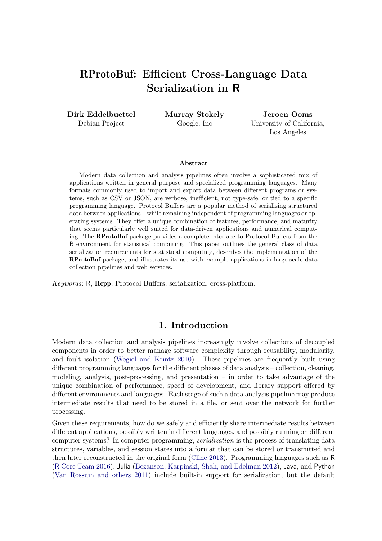# RProtoBuf: Efficient Cross-Language Data Serialization in R

Dirk Eddelbuettel Debian Project

Murray Stokely Google, Inc

Jeroen Ooms University of California, Los Angeles

#### Abstract

Modern data collection and analysis pipelines often involve a sophisticated mix of applications written in general purpose and specialized programming languages. Many formats commonly used to import and export data between different programs or systems, such as CSV or JSON, are verbose, inefficient, not type-safe, or tied to a specific programming language. Protocol Buffers are a popular method of serializing structured data between applications – while remaining independent of programming languages or operating systems. They offer a unique combination of features, performance, and maturity that seems particularly well suited for data-driven applications and numerical computing. The RProtoBuf package provides a complete interface to Protocol Buffers from the R environment for statistical computing. This paper outlines the general class of data serialization requirements for statistical computing, describes the implementation of the RProtoBuf package, and illustrates its use with example applications in large-scale data collection pipelines and web services.

Keywords: R, Rcpp, Protocol Buffers, serialization, cross-platform.

# 1. Introduction

Modern data collection and analysis pipelines increasingly involve collections of decoupled components in order to better manage software complexity through reusability, modularity, and fault isolation [\(Wegiel and Krintz](#page-21-0) [2010\)](#page-21-0). These pipelines are frequently built using different programming languages for the different phases of data analysis – collection, cleaning, modeling, analysis, post-processing, and presentation  $-$  in order to take advantage of the unique combination of performance, speed of development, and library support offered by different environments and languages. Each stage of such a data analysis pipeline may produce intermediate results that need to be stored in a file, or sent over the network for further processing.

Given these requirements, how do we safely and efficiently share intermediate results between different applications, possibly written in different languages, and possibly running on different computer systems? In computer programming, serialization is the process of translating data structures, variables, and session states into a format that can be stored or transmitted and then later reconstructed in the original form [\(Cline](#page-19-0) [2013\)](#page-19-0). Programming languages such as R (R [Core Team](#page-20-0) [2016\)](#page-20-0), Julia [\(Bezanson, Karpinski, Shah, and Edelman](#page-19-1) [2012\)](#page-19-1), Java, and Python [\(Van Rossum and others](#page-20-1) [2011\)](#page-20-1) include built-in support for serialization, but the default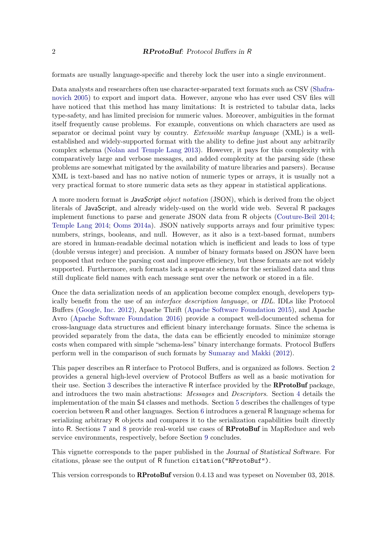formats are usually language-specific and thereby lock the user into a single environment.

Data analysts and researchers often use character-separated text formats such as CSV [\(Shafra](#page-20-2)[novich](#page-20-2) [2005\)](#page-20-2) to export and import data. However, anyone who has ever used CSV files will have noticed that this method has many limitations: It is restricted to tabular data, lacks type-safety, and has limited precision for numeric values. Moreover, ambiguities in the format itself frequently cause problems. For example, conventions on which characters are used as separator or decimal point vary by country. Extensible markup language  $(XML)$  is a wellestablished and widely-supported format with the ability to define just about any arbitrarily complex schema [\(Nolan and Temple Lang](#page-19-2) [2013\)](#page-19-2). However, it pays for this complexity with comparatively large and verbose messages, and added complexity at the parsing side (these problems are somewhat mitigated by the availability of mature libraries and parsers). Because XML is text-based and has no native notion of numeric types or arrays, it is usually not a very practical format to store numeric data sets as they appear in statistical applications.

A more modern format is JavaScript object notation (JSON), which is derived from the object literals of JavaScript, and already widely-used on the world wide web. Several R packages implement functions to parse and generate JSON data from R objects [\(Couture-Beil](#page-19-3) [2014;](#page-19-3) [Temple Lang](#page-20-3) [2014;](#page-20-3) [Ooms](#page-20-4) [2014a\)](#page-20-4). JSON natively supports arrays and four primitive types: numbers, strings, booleans, and null. However, as it also is a text-based format, numbers are stored in human-readable decimal notation which is inefficient and leads to loss of type (double versus integer) and precision. A number of binary formats based on JSON have been proposed that reduce the parsing cost and improve efficiency, but these formats are not widely supported. Furthermore, such formats lack a separate schema for the serialized data and thus still duplicate field names with each message sent over the network or stored in a file.

Once the data serialization needs of an application become complex enough, developers typically benefit from the use of an interface description language, or IDL. IDLs like Protocol Buffers [\(Google, Inc.](#page-19-4) [2012\)](#page-19-4), Apache Thrift [\(Apache Software Foundation](#page-19-5) [2015\)](#page-19-5), and Apache Avro [\(Apache Software Foundation](#page-19-6) [2016\)](#page-19-6) provide a compact well-documented schema for cross-language data structures and efficient binary interchange formats. Since the schema is provided separately from the data, the data can be efficiently encoded to minimize storage costs when compared with simple "schema-less" binary interchange formats. Protocol Buffers perform well in the comparison of such formats by [Sumaray and Makki](#page-20-5) [\(2012\)](#page-20-5).

This paper describes an R interface to Protocol Buffers, and is organized as follows. Section [2](#page-2-0) provides a general high-level overview of Protocol Buffers as well as a basic motivation for their use. Section [3](#page-3-0) describes the interactive R interface provided by the RProtoBuf package, and introduces the two main abstractions: Messages and Descriptors. Section [4](#page-6-0) details the implementation of the main S4 classes and methods. Section [5](#page-9-0) describes the challenges of type coercion between R and other languages. Section [6](#page-11-0) introduces a general R language schema for serializing arbitrary R objects and compares it to the serialization capabilities built directly into R. Sections [7](#page-12-0) and [8](#page-15-0) provide real-world use cases of RProtoBuf in MapReduce and web service environments, respectively, before Section [9](#page-18-0) concludes.

This vignette corresponds to the paper published in the Journal of Statistical Software. For citations, please see the output of R function citation("RProtoBuf").

This version corresponds to RProtoBuf version 0.4.13 and was typeset on November 03, 2018.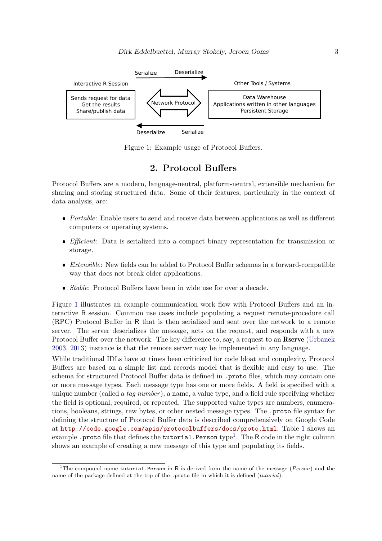

Figure 1: Example usage of Protocol Buffers.

# <span id="page-2-1"></span>2. Protocol Buffers

<span id="page-2-0"></span>Protocol Buffers are a modern, language-neutral, platform-neutral, extensible mechanism for sharing and storing structured data. Some of their features, particularly in the context of data analysis, are:

- $\bullet$  Portable: Enable users to send and receive data between applications as well as different computers or operating systems.
- *Efficient*: Data is serialized into a compact binary representation for transmission or storage.
- $\bullet$  *Extensible*: New fields can be added to Protocol Buffer schemas in a forward-compatible way that does not break older applications.
- $\bullet$  *Stable*: Protocol Buffers have been in wide use for over a decade.

Figure [1](#page-2-1) illustrates an example communication work flow with Protocol Buffers and an interactive R session. Common use cases include populating a request remote-procedure call (RPC) Protocol Buffer in R that is then serialized and sent over the network to a remote server. The server deserializes the message, acts on the request, and responds with a new Protocol Buffer over the network. The key difference to, say, a request to an **Rserve** [\(Urbanek](#page-20-6) [2003,](#page-20-6) [2013\)](#page-20-7) instance is that the remote server may be implemented in any language.

While traditional IDLs have at times been criticized for code bloat and complexity, Protocol Buffers are based on a simple list and records model that is flexible and easy to use. The schema for structured Protocol Buffer data is defined in .proto files, which may contain one or more message types. Each message type has one or more fields. A field is specified with a unique number (called a tag number), a name, a value type, and a field rule specifying whether the field is optional, required, or repeated. The supported value types are numbers, enumerations, booleans, strings, raw bytes, or other nested message types. The .proto file syntax for defining the structure of Protocol Buffer data is described comprehensively on Google Code at <http://code.google.com/apis/protocolbuffers/docs/proto.html>. Table [1](#page-3-1) shows an example .proto file that defines the tutorial.Person type<sup>[1](#page-2-2)</sup>. The R code in the right column shows an example of creating a new message of this type and populating its fields.

<span id="page-2-2"></span><sup>&</sup>lt;sup>1</sup>The compound name tutorial.Person in R is derived from the name of the message ( $Person$ ) and the name of the package defined at the top of the .proto file in which it is defined (tutorial).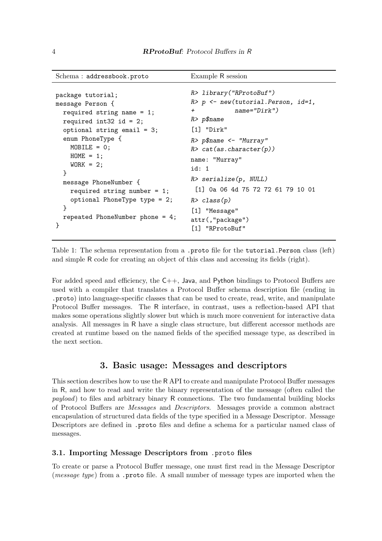```
Schema : addressbook.proto Example R session
```

```
package tutorial;
message Person {
  required string name = 1;
  required int32 id = 2;
  optional string email = 3;
  enum PhoneType {
    MOBILE = 0;HOME = 1;WORK = 2;}
  message PhoneNumber {
    required string number = 1;
    optional PhoneType type = 2;
  }
  repeated PhoneNumber phone = 4;
}
                                     R> library("RProtoBuf")
                                     R> p <- new(tutorial.Person, id=1,
                                     + name="Dirk")
                                     R> p$name
                                     [1] "Dirk"
                                     R> p$name <- "Murray"
                                     R> cat(as.character(p))
                                     name: "Murray"
                                     id: 1
                                     R> serialize(p, NULL)
                                      [1] 0a 06 4d 75 72 72 61 79 10 01
                                     R> class(p)[1] "Message"
                                     attr(,"package")
                                     [1] "RProtoBuf"
```
<span id="page-3-1"></span>Table 1: The schema representation from a .proto file for the tutorial.Person class (left) and simple R code for creating an object of this class and accessing its fields (right).

For added speed and efficiency, the C++, Java, and Python bindings to Protocol Buffers are used with a compiler that translates a Protocol Buffer schema description file (ending in .proto) into language-specific classes that can be used to create, read, write, and manipulate Protocol Buffer messages. The R interface, in contrast, uses a reflection-based API that makes some operations slightly slower but which is much more convenient for interactive data analysis. All messages in R have a single class structure, but different accessor methods are created at runtime based on the named fields of the specified message type, as described in the next section.

## 3. Basic usage: Messages and descriptors

<span id="page-3-0"></span>This section describes how to use the R API to create and manipulate Protocol Buffer messages in R, and how to read and write the binary representation of the message (often called the payload) to files and arbitrary binary R connections. The two fundamental building blocks of Protocol Buffers are Messages and Descriptors. Messages provide a common abstract encapsulation of structured data fields of the type specified in a Message Descriptor. Message Descriptors are defined in .proto files and define a schema for a particular named class of messages.

#### 3.1. Importing Message Descriptors from .proto files

To create or parse a Protocol Buffer message, one must first read in the Message Descriptor (message type) from a .proto file. A small number of message types are imported when the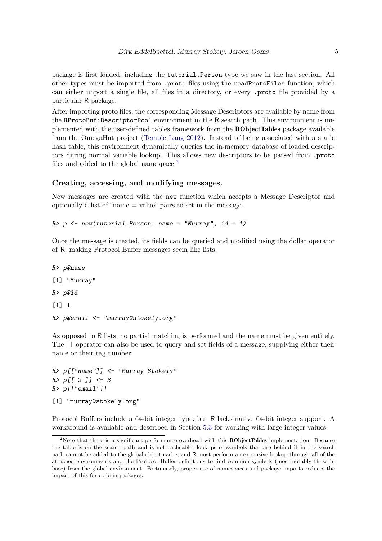package is first loaded, including the tutorial.Person type we saw in the last section. All other types must be imported from .proto files using the readProtoFiles function, which can either import a single file, all files in a directory, or every .proto file provided by a particular R package.

After importing proto files, the corresponding Message Descriptors are available by name from the RProtoBuf:DescriptorPool environment in the R search path. This environment is implemented with the user-defined tables framework from the RObjectTables package available from the OmegaHat project [\(Temple Lang](#page-20-8) [2012\)](#page-20-8). Instead of being associated with a static hash table, this environment dynamically queries the in-memory database of loaded descriptors during normal variable lookup. This allows new descriptors to be parsed from .proto files and added to the global namespace.<sup>[2](#page-4-0)</sup>

#### Creating, accessing, and modifying messages.

New messages are created with the new function which accepts a Message Descriptor and optionally a list of "name = value" pairs to set in the message.

### $R$ >  $p$  <- new(tutorial. Person, name = "Murray", id = 1)

Once the message is created, its fields can be queried and modified using the dollar operator of R, making Protocol Buffer messages seem like lists.

```
R> p$name
[1] "Murray"
R> p$id
[1] 1
R> p$email <- "murray@stokely.org"
```
As opposed to R lists, no partial matching is performed and the name must be given entirely. The [[ operator can also be used to query and set fields of a message, supplying either their name or their tag number:

```
R> p[["name"]] <- "Murray Stokely"
R > p[[2]] < -3R> p[["email"]]
[1] "murray@stokely.org"
```
Protocol Buffers include a 64-bit integer type, but R lacks native 64-bit integer support. A workaround is available and described in Section [5.3](#page-10-0) for working with large integer values.

<span id="page-4-0"></span><sup>&</sup>lt;sup>2</sup>Note that there is a significant performance overhead with this **RObjectTables** implementation. Because the table is on the search path and is not cacheable, lookups of symbols that are behind it in the search path cannot be added to the global object cache, and R must perform an expensive lookup through all of the attached environments and the Protocol Buffer definitions to find common symbols (most notably those in base) from the global environment. Fortunately, proper use of namespaces and package imports reduces the impact of this for code in packages.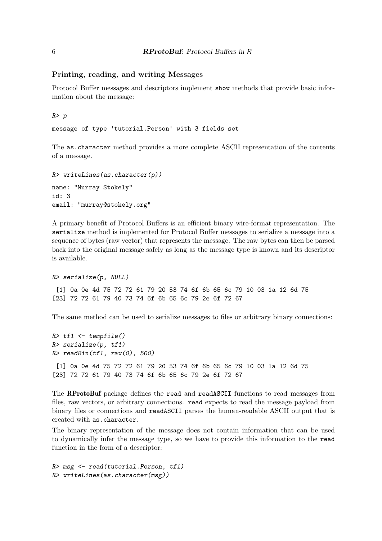### Printing, reading, and writing Messages

Protocol Buffer messages and descriptors implement show methods that provide basic information about the message:

R> p

message of type 'tutorial.Person' with 3 fields set

The as.character method provides a more complete ASCII representation of the contents of a message.

```
R> writeLines(as.character(p))
name: "Murray Stokely"
id: 3
email: "murray@stokely.org"
```
A primary benefit of Protocol Buffers is an efficient binary wire-format representation. The serialize method is implemented for Protocol Buffer messages to serialize a message into a sequence of bytes (raw vector) that represents the message. The raw bytes can then be parsed back into the original message safely as long as the message type is known and its descriptor is available.

```
R> serialize(p, NULL)
```
[1] 0a 0e 4d 75 72 72 61 79 20 53 74 6f 6b 65 6c 79 10 03 1a 12 6d 75 [23] 72 72 61 79 40 73 74 6f 6b 65 6c 79 2e 6f 72 67

The same method can be used to serialize messages to files or arbitrary binary connections:

 $R$ >  $tf1$  <-  $t$ empfile() R> serialize(p, tf1)  $R$ > readBin(tf1, raw(0), 500) [1] 0a 0e 4d 75 72 72 61 79 20 53 74 6f 6b 65 6c 79 10 03 1a 12 6d 75 [23] 72 72 61 79 40 73 74 6f 6b 65 6c 79 2e 6f 72 67

The RProtoBuf package defines the read and readASCII functions to read messages from files, raw vectors, or arbitrary connections. read expects to read the message payload from binary files or connections and readASCII parses the human-readable ASCII output that is created with as.character.

The binary representation of the message does not contain information that can be used to dynamically infer the message type, so we have to provide this information to the read function in the form of a descriptor:

```
R> msg <- read(tutorial.Person, tf1)
R> writeLines(as.character(msg))
```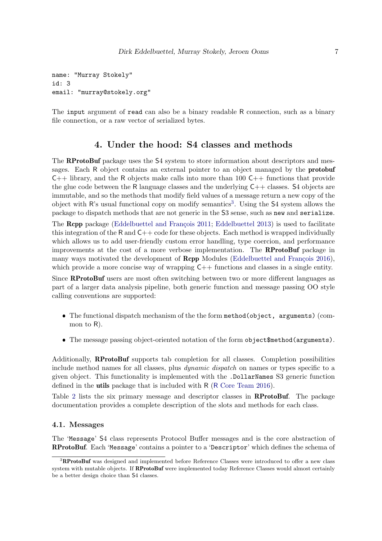```
name: "Murray Stokely"
id: 3
email: "murray@stokely.org"
```
The input argument of read can also be a binary readable R connection, such as a binary file connection, or a raw vector of serialized bytes.

# 4. Under the hood: S4 classes and methods

<span id="page-6-0"></span>The **RProtoBuf** package uses the S4 system to store information about descriptors and messages. Each R object contains an external pointer to an object managed by the **protobuf**  $C++$  library, and the R objects make calls into more than 100  $C++$  functions that provide the glue code between the R language classes and the underlying  $C++$  classes. S4 objects are immutable, and so the methods that modify field values of a message return a new copy of the object with  $\mathsf{R}'$ 's usual functional copy on modify semantics<sup>[3](#page-6-1)</sup>. Using the  $\mathsf{S}4$  system allows the package to dispatch methods that are not generic in the S3 sense, such as new and serialize.

The Rcpp package (Eddelbuettel and François [2011;](#page-19-7) [Eddelbuettel](#page-19-8) [2013\)](#page-19-8) is used to facilitate this integration of the R and  $C++$  code for these objects. Each method is wrapped individually which allows us to add user-friendly custom error handling, type coercion, and performance improvements at the cost of a more verbose implementation. The RProtoBuf package in many ways motivated the development of  $\mathbf{Rcpp}$  Modules (Eddelbuettel and François [2016\)](#page-19-9), which provide a more concise way of wrapping  $C++$  functions and classes in a single entity.

Since RProtoBuf users are most often switching between two or more different languages as part of a larger data analysis pipeline, both generic function and message passing OO style calling conventions are supported:

- The functional dispatch mechanism of the the form method(object, arguments) (common to R).
- The message passing object-oriented notation of the form object\$method(arguments).

Additionally, RProtoBuf supports tab completion for all classes. Completion possibilities include method names for all classes, plus dynamic dispatch on names or types specific to a given object. This functionality is implemented with the .DollarNames S3 generic function defined in the utils package that is included with R (R [Core Team](#page-20-0) [2016\)](#page-20-0).

Table [2](#page-7-0) lists the six primary message and descriptor classes in RProtoBuf. The package documentation provides a complete description of the slots and methods for each class.

### 4.1. Messages

The 'Message' S4 class represents Protocol Buffer messages and is the core abstraction of RProtoBuf. Each 'Message' contains a pointer to a 'Descriptor' which defines the schema of

<span id="page-6-1"></span><sup>&</sup>lt;sup>3</sup>RProtoBuf was designed and implemented before Reference Classes were introduced to offer a new class system with mutable objects. If **RProtoBuf** were implemented today Reference Classes would almost certainly be a better design choice than S4 classes.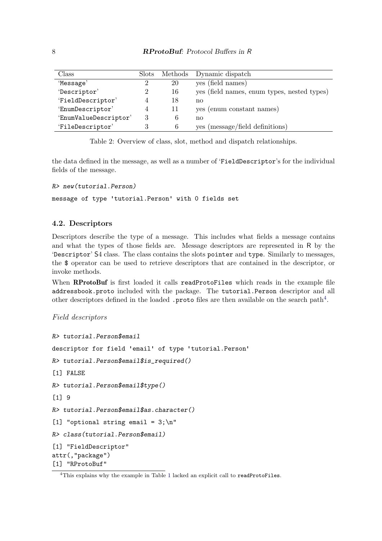| Class                 | Slots          |    | Methods Dynamic dispatch                    |
|-----------------------|----------------|----|---------------------------------------------|
| 'Message'             |                | 20 | ves (field names)                           |
| 'Descriptor'          |                | 16 | yes (field names, enum types, nested types) |
| 'FieldDescriptor'     |                | 18 | no                                          |
| 'EnumDescriptor'      | $\overline{4}$ | 11 | yes (enum constant names)                   |
| 'EnumValueDescriptor' |                |    | no                                          |
| 'FileDescriptor'      |                | 6  | yes (message/field definitions)             |

<span id="page-7-0"></span>Table 2: Overview of class, slot, method and dispatch relationships.

the data defined in the message, as well as a number of 'FieldDescriptor's for the individual fields of the message.

```
R> new(tutorial.Person)
```
message of type 'tutorial.Person' with 0 fields set

### 4.2. Descriptors

Descriptors describe the type of a message. This includes what fields a message contains and what the types of those fields are. Message descriptors are represented in R by the 'Descriptor' S4 class. The class contains the slots pointer and type. Similarly to messages, the \$ operator can be used to retrieve descriptors that are contained in the descriptor, or invoke methods.

When RProtoBuf is first loaded it calls readProtoFiles which reads in the example file addressbook.proto included with the package. The tutorial.Person descriptor and all other descriptors defined in the loaded . proto files are then available on the search path<sup>[4](#page-7-1)</sup>.

```
Field descriptors
```

```
R> tutorial.Person$email
descriptor for field 'email' of type 'tutorial.Person'
R> tutorial.Person$email$is_required()
[1] FALSE
R> tutorial.Person$email$type()
[1] 9
R> tutorial.Person$email$as.character()
[1] "optional string email = 3;\nR> class(tutorial.Person$email)
[1] "FieldDescriptor"
attr(,"package")
[1] "RProtoBuf"
```
<span id="page-7-1"></span><sup>&</sup>lt;sup>4</sup>This explains why the example in Table [1](#page-3-1) lacked an explicit call to readProtoFiles.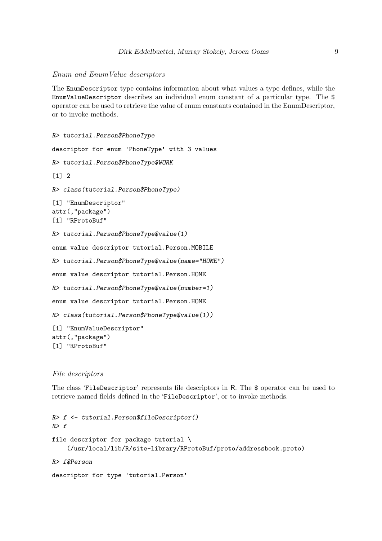#### Enum and EnumValue descriptors

The EnumDescriptor type contains information about what values a type defines, while the EnumValueDescriptor describes an individual enum constant of a particular type. The \$ operator can be used to retrieve the value of enum constants contained in the EnumDescriptor, or to invoke methods.

```
R> tutorial.Person$PhoneType
descriptor for enum 'PhoneType' with 3 values
R> tutorial.Person$PhoneType$WORK
\lceil 1 \rceil 2
R> class(tutorial.Person$PhoneType)
[1] "EnumDescriptor"
attr(,"package")
[1] "RProtoBuf"
R> tutorial.Person$PhoneType$value(1)
enum value descriptor tutorial.Person.MOBILE
R> tutorial.Person$PhoneType$value(name="HOME")
enum value descriptor tutorial.Person.HOME
R> tutorial.Person$PhoneType$value(number=1)
enum value descriptor tutorial.Person.HOME
R> class(tutorial.Person$PhoneType$value(1))
[1] "EnumValueDescriptor"
attr(,"package")
[1] "RProtoBuf"
```
#### File descriptors

The class 'FileDescriptor' represents file descriptors in R. The \$ operator can be used to retrieve named fields defined in the 'FileDescriptor', or to invoke methods.

```
R> f <- tutorial.Person$fileDescriptor()
R > ffile descriptor for package tutorial \
    (/usr/local/lib/R/site-library/RProtoBuf/proto/addressbook.proto)
R> f$Person
descriptor for type 'tutorial.Person'
```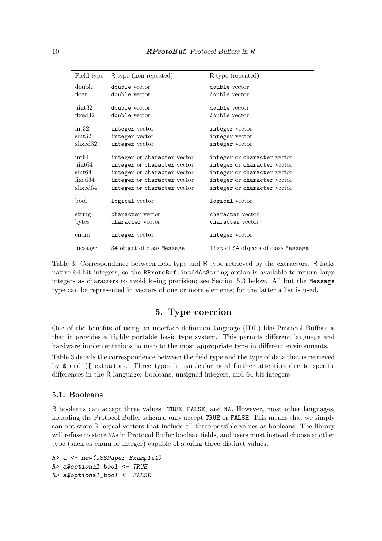| Field type      | R type (non repeated)       | R type (repeated)                   |
|-----------------|-----------------------------|-------------------------------------|
| double          | double vector               | double vector                       |
| float           | double vector               | double vector                       |
| uint32          | double vector               | double vector                       |
| fixed32         | double vector               | double vector                       |
|                 |                             |                                     |
| int32           | integer vector              | integer vector                      |
| $\sin t32$      | integer vector              | integer vector                      |
| sfixed 32       | integer vector              | integer vector                      |
| int64           | integer or character vector | integer or character vector         |
|                 |                             |                                     |
| $\text{uint}64$ | integer or character vector | integer or character vector         |
| $\sin t 64$     | integer or character vector | integer or character vector         |
| fixed64         | integer or character vector | integer or character vector         |
| sfixed64        | integer or character vector | integer or character vector         |
| bool            | logical vector              | logical vector                      |
|                 |                             |                                     |
| string          | character vector            | character vector                    |
| bytes           | character vector            | character vector                    |
|                 |                             |                                     |
| enum            | integer vector              | integer vector                      |
| message         | S4 object of class Message  | list of S4 objects of class Message |

<span id="page-9-1"></span>Table 3: Correspondence between field type and R type retrieved by the extractors. R lacks native 64-bit integers, so the RProtoBuf.int64AsString option is available to return large integers as characters to avoid losing precision; see Section [5.3](#page-10-0) below. All but the Message type can be represented in vectors of one or more elements; for the latter a list is used.

# 5. Type coercion

<span id="page-9-0"></span>One of the benefits of using an interface definition language (IDL) like Protocol Buffers is that it provides a highly portable basic type system. This permits different language and hardware implementations to map to the most appropriate type in different environments.

Table [3](#page-9-1) details the correspondence between the field type and the type of data that is retrieved by \$ and [[ extractors. Three types in particular need further attention due to specific differences in the R language: booleans, unsigned integers, and 64-bit integers.

#### 5.1. Booleans

R booleans can accept three values: TRUE, FALSE, and NA. However, most other languages, including the Protocol Buffer schema, only accept TRUE or FALSE. This means that we simply can not store R logical vectors that include all three possible values as booleans. The library will refuse to store NAs in Protocol Buffer boolean fields, and users must instead choose another type (such as enum or integer) capable of storing three distinct values.

```
R> a <- new(JSSPaper.Example1)
R> a$optional_bool <- TRUE
R> a$optional_bool <- FALSE
```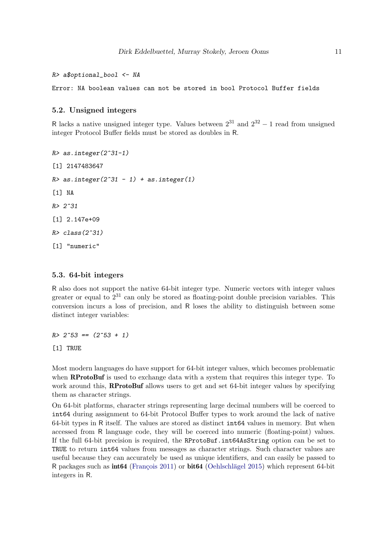$R$ > a\$optional\_bool  $\leq$ - NA

Error: NA boolean values can not be stored in bool Protocol Buffer fields

#### 5.2. Unsigned integers

R lacks a native unsigned integer type. Values between  $2^{31}$  and  $2^{32} - 1$  read from unsigned integer Protocol Buffer fields must be stored as doubles in R.

 $R > as.interger(2^31-1)$ [1] 2147483647  $R > as.interger(2^31 - 1) + as.interger(1)$ [1] NA  $R > 2^{\degree}31$ [1] 2.147e+09  $R > class(2^31)$ [1] "numeric"

#### <span id="page-10-0"></span>5.3. 64-bit integers

R also does not support the native 64-bit integer type. Numeric vectors with integer values greater or equal to  $2^{31}$  can only be stored as floating-point double precision variables. This conversion incurs a loss of precision, and R loses the ability to distinguish between some distinct integer variables:

 $R > 2^{\text{-}}53 == (2^{\text{-}}53 + 1)$ 

[1] TRUE

Most modern languages do have support for 64-bit integer values, which becomes problematic when **RProtoBuf** is used to exchange data with a system that requires this integer type. To work around this, **RProtoBuf** allows users to get and set 64-bit integer values by specifying them as character strings.

On 64-bit platforms, character strings representing large decimal numbers will be coerced to int64 during assignment to 64-bit Protocol Buffer types to work around the lack of native 64-bit types in R itself. The values are stored as distinct int64 values in memory. But when accessed from R language code, they will be coerced into numeric (floating-point) values. If the full 64-bit precision is required, the RProtoBuf.int64AsString option can be set to TRUE to return int64 values from messages as character strings. Such character values are useful because they can accurately be used as unique identifiers, and can easily be passed to R packages such as  $int64$  (François [2011\)](#page-19-10) or  $bit64$  (Oehlschlägel [2015\)](#page-19-11) which represent 64-bit integers in R.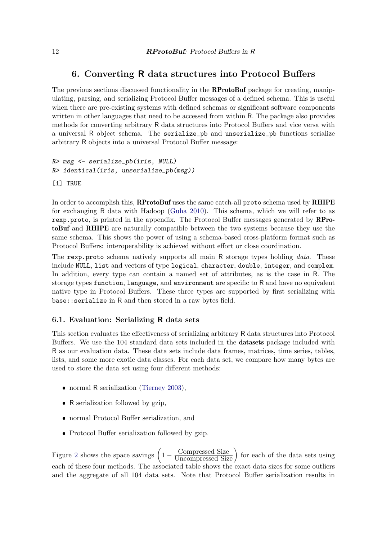# 6. Converting R data structures into Protocol Buffers

<span id="page-11-0"></span>The previous sections discussed functionality in the **RProtoBuf** package for creating, manipulating, parsing, and serializing Protocol Buffer messages of a defined schema. This is useful when there are pre-existing systems with defined schemas or significant software components written in other languages that need to be accessed from within R. The package also provides methods for converting arbitrary R data structures into Protocol Buffers and vice versa with a universal R object schema. The serialize\_pb and unserialize\_pb functions serialize arbitrary R objects into a universal Protocol Buffer message:

```
R> msg <- serialize_pb(iris, NULL)
R> identical(iris, unserialize_pb(msg))
[1] TRUE
```
In order to accomplish this, **RProtoBuf** uses the same catch-all proto schema used by **RHIPE** for exchanging R data with Hadoop [\(Guha](#page-19-12) [2010\)](#page-19-12). This schema, which we will refer to as rexp.proto, is printed in the appendix. The Protocol Buffer messages generated by **RPro**toBuf and RHIPE are naturally compatible between the two systems because they use the same schema. This shows the power of using a schema-based cross-platform format such as Protocol Buffers: interoperability is achieved without effort or close coordination.

The rexp.proto schema natively supports all main R storage types holding *data*. These include NULL, list and vectors of type logical, character, double, integer, and complex. In addition, every type can contain a named set of attributes, as is the case in R. The storage types function, language, and environment are specific to R and have no equivalent native type in Protocol Buffers. These three types are supported by first serializing with base::serialize in R and then stored in a raw bytes field.

### 6.1. Evaluation: Serializing R data sets

This section evaluates the effectiveness of serializing arbitrary R data structures into Protocol Buffers. We use the 104 standard data sets included in the datasets package included with R as our evaluation data. These data sets include data frames, matrices, time series, tables, lists, and some more exotic data classes. For each data set, we compare how many bytes are used to store the data set using four different methods:

- normal R serialization [\(Tierney](#page-20-9) [2003\)](#page-20-9),
- R serialization followed by gzip,
- normal Protocol Buffer serialization, and
- Protocol Buffer serialization followed by gzip.

Figure [2](#page-13-0) shows the space savings  $\left(1 - \frac{\text{Compressed Size}}{\text{Uncompressed Size}}\right)$  for each of the data sets using each of these four methods. The associated table shows the exact data sizes for some outliers and the aggregate of all 104 data sets. Note that Protocol Buffer serialization results in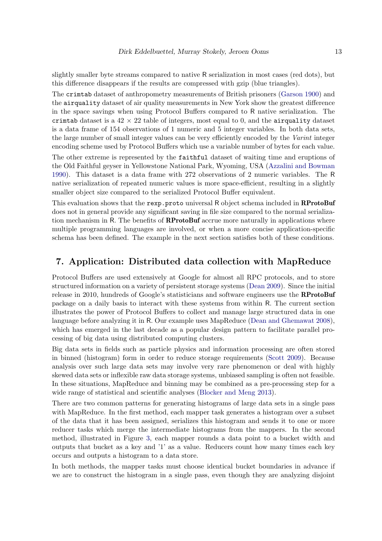slightly smaller byte streams compared to native R serialization in most cases (red dots), but this difference disappears if the results are compressed with gzip (blue triangles).

The crimtab dataset of anthropometry measurements of British prisoners [\(Garson](#page-19-13) [1900\)](#page-19-13) and the airquality dataset of air quality measurements in New York show the greatest difference in the space savings when using Protocol Buffers compared to R native serialization. The crimtab dataset is a  $42 \times 22$  table of integers, most equal to 0, and the airquality dataset is a data frame of 154 observations of 1 numeric and 5 integer variables. In both data sets, the large number of small integer values can be very efficiently encoded by the Varint integer encoding scheme used by Protocol Buffers which use a variable number of bytes for each value.

The other extreme is represented by the faithful dataset of waiting time and eruptions of the Old Faithful geyser in Yellowstone National Park, Wyoming, USA [\(Azzalini and Bowman](#page-19-14) [1990\)](#page-19-14). This dataset is a data frame with 272 observations of 2 numeric variables. The R native serialization of repeated numeric values is more space-efficient, resulting in a slightly smaller object size compared to the serialized Protocol Buffer equivalent.

This evaluation shows that the rexp.proto universal R object schema included in **RProtoBuf** does not in general provide any significant saving in file size compared to the normal serialization mechanism in R. The benefits of **RProtoBuf** accrue more naturally in applications where multiple programming languages are involved, or when a more concise application-specific schema has been defined. The example in the next section satisfies both of these conditions.

# <span id="page-12-0"></span>7. Application: Distributed data collection with MapReduce

Protocol Buffers are used extensively at Google for almost all RPC protocols, and to store structured information on a variety of persistent storage systems [\(Dean](#page-19-15) [2009\)](#page-19-15). Since the initial release in 2010, hundreds of Google's statisticians and software engineers use the **RProtoBuf** package on a daily basis to interact with these systems from within R. The current section illustrates the power of Protocol Buffers to collect and manage large structured data in one language before analyzing it in R. Our example uses MapReduce [\(Dean and Ghemawat](#page-19-16) [2008\)](#page-19-16), which has emerged in the last decade as a popular design pattern to facilitate parallel processing of big data using distributed computing clusters.

Big data sets in fields such as particle physics and information processing are often stored in binned (histogram) form in order to reduce storage requirements [\(Scott](#page-20-10) [2009\)](#page-20-10). Because analysis over such large data sets may involve very rare phenomenon or deal with highly skewed data sets or inflexible raw data storage systems, unbiased sampling is often not feasible. In these situations, MapReduce and binning may be combined as a pre-processing step for a wide range of statistical and scientific analyses [\(Blocker and Meng](#page-19-17) [2013\)](#page-19-17).

There are two common patterns for generating histograms of large data sets in a single pass with MapReduce. In the first method, each mapper task generates a histogram over a subset of the data that it has been assigned, serializes this histogram and sends it to one or more reducer tasks which merge the intermediate histograms from the mappers. In the second method, illustrated in Figure [3,](#page-14-0) each mapper rounds a data point to a bucket width and outputs that bucket as a key and '1' as a value. Reducers count how many times each key occurs and outputs a histogram to a data store.

In both methods, the mapper tasks must choose identical bucket boundaries in advance if we are to construct the histogram in a single pass, even though they are analyzing disjoint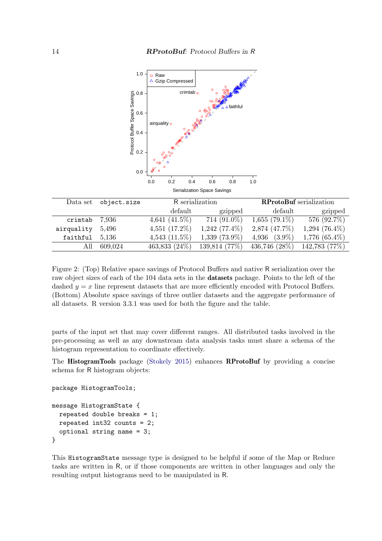

<span id="page-13-0"></span>Figure 2: (Top) Relative space savings of Protocol Buffers and native R serialization over the raw object sizes of each of the 104 data sets in the datasets package. Points to the left of the dashed  $y = x$  line represent datasets that are more efficiently encoded with Protocol Buffers. (Bottom) Absolute space savings of three outlier datasets and the aggregate performance of all datasets. R version 3.3.1 was used for both the figure and the table.

parts of the input set that may cover different ranges. All distributed tasks involved in the pre-processing as well as any downstream data analysis tasks must share a schema of the histogram representation to coordinate effectively.

The HistogramTools package [\(Stokely](#page-20-11) [2015\)](#page-20-11) enhances RProtoBuf by providing a concise schema for R histogram objects:

```
package HistogramTools;
```

```
message HistogramState {
  repeated double breaks = 1;
  repeated int32 counts = 2;
  optional string name = 3;
}
```
This HistogramState message type is designed to be helpful if some of the Map or Reduce tasks are written in R, or if those components are written in other languages and only the resulting output histograms need to be manipulated in R.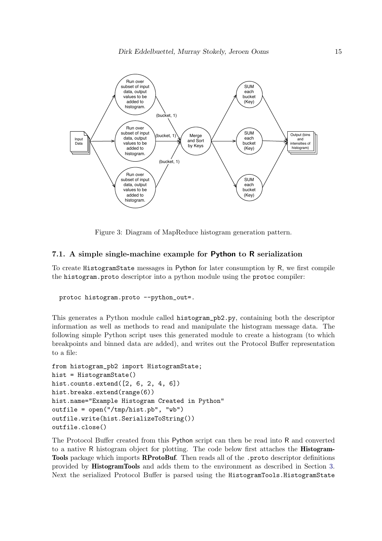

<span id="page-14-0"></span>Figure 3: Diagram of MapReduce histogram generation pattern.

#### 7.1. A simple single-machine example for Python to R serialization

To create HistogramState messages in Python for later consumption by R, we first compile the histogram.proto descriptor into a python module using the protoc compiler:

```
protoc histogram.proto --python_out=.
```
This generates a Python module called histogram\_pb2.py, containing both the descriptor information as well as methods to read and manipulate the histogram message data. The following simple Python script uses this generated module to create a histogram (to which breakpoints and binned data are added), and writes out the Protocol Buffer representation to a file:

```
from histogram_pb2 import HistogramState;
hist = HistogramState()
hist.counts.extend([2, 6, 2, 4, 6])
hist.breaks.extend(range(6))
hist.name="Example Histogram Created in Python"
outfile = open("/tmp/hist.pb", "wb")
outfile.write(hist.SerializeToString())
outfile.close()
```
The Protocol Buffer created from this Python script can then be read into R and converted to a native R histogram object for plotting. The code below first attaches the **Histogram-**Tools package which imports RProtoBuf. Then reads all of the .proto descriptor definitions provided by HistogramTools and adds them to the environment as described in Section [3.](#page-3-0) Next the serialized Protocol Buffer is parsed using the HistogramTools.HistogramState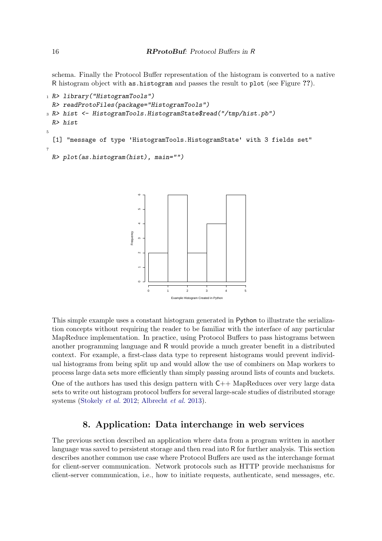schema. Finally the Protocol Buffer representation of the histogram is converted to a native R histogram object with as.histogram and passes the result to plot (see Figure ??).

```
1 R> library("HistogramTools")
 R> readProtoFiles(package="HistogramTools")
3 R> hist <- HistogramTools.HistogramState$read("/tmp/hist.pb")
 R> hist
5
 [1] "message of type 'HistogramTools.HistogramState' with 3 fields set"
7
 R> plot(as.histogram(hist), main="")
```


This simple example uses a constant histogram generated in Python to illustrate the serialization concepts without requiring the reader to be familiar with the interface of any particular MapReduce implementation. In practice, using Protocol Buffers to pass histograms between another programming language and R would provide a much greater benefit in a distributed context. For example, a first-class data type to represent histograms would prevent individual histograms from being split up and would allow the use of combiners on Map workers to process large data sets more efficiently than simply passing around lists of counts and buckets. One of the authors has used this design pattern with  $C_{++}$  MapReduces over very large data sets to write out histogram protocol buffers for several large-scale studies of distributed storage systems [\(Stokely](#page-20-12) et al. [2012;](#page-20-12) [Albrecht](#page-18-1) et al. [2013\)](#page-18-1).

# 8. Application: Data interchange in web services

<span id="page-15-0"></span>The previous section described an application where data from a program written in another language was saved to persistent storage and then read into R for further analysis. This section describes another common use case where Protocol Buffers are used as the interchange format for client-server communication. Network protocols such as HTTP provide mechanisms for client-server communication, i.e., how to initiate requests, authenticate, send messages, etc.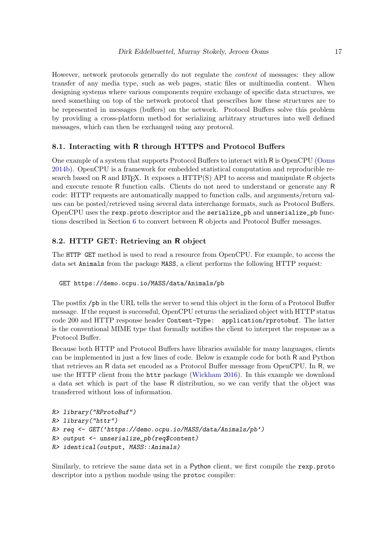However, network protocols generally do not regulate the content of messages: they allow transfer of any media type, such as web pages, static files or multimedia content. When designing systems where various components require exchange of specific data structures, we need something on top of the network protocol that prescribes how these structures are to be represented in messages (buffers) on the network. Protocol Buffers solve this problem by providing a cross-platform method for serializing arbitrary structures into well defined messages, which can then be exchanged using any protocol.

### 8.1. Interacting with R through HTTPS and Protocol Buffers

One example of a system that supports Protocol Buffers to interact with R is OpenCPU [\(Ooms](#page-20-13) [2014b\)](#page-20-13). OpenCPU is a framework for embedded statistical computation and reproducible research based on R and  $\langle \text{AFRX} \rangle$ . It exposes a  $\text{HTTP}(S)$  API to access and manipulate R objects and execute remote R function calls. Clients do not need to understand or generate any R code: HTTP requests are automatically mapped to function calls, and arguments/return values can be posted/retrieved using several data interchange formats, such as Protocol Buffers. OpenCPU uses the rexp.proto descriptor and the serialize\_pb and unserialize\_pb functions described in Section [6](#page-11-0) to convert between R objects and Protocol Buffer messages.

### 8.2. HTTP GET: Retrieving an R object

The HTTP GET method is used to read a resource from OpenCPU. For example, to access the data set Animals from the package MASS, a client performs the following HTTP request:

GET https://demo.ocpu.io/MASS/data/Animals/pb

The postfix /pb in the URL tells the server to send this object in the form of a Protocol Buffer message. If the request is successful, OpenCPU returns the serialized object with HTTP status code 200 and HTTP response header Content-Type: application/rprotobuf. The latter is the conventional MIME type that formally notifies the client to interpret the response as a Protocol Buffer.

Because both HTTP and Protocol Buffers have libraries available for many languages, clients can be implemented in just a few lines of code. Below is example code for both R and Python that retrieves an R data set encoded as a Protocol Buffer message from OpenCPU. In R, we use the HTTP client from the httr package [\(Wickham](#page-21-1) [2016\)](#page-21-1). In this example we download a data set which is part of the base R distribution, so we can verify that the object was transferred without loss of information.

```
R> library("RProtoBuf")
R> library("httr")
R> req <- GET('https://demo.ocpu.io/MASS/data/Animals/pb')
R> output <- unserialize_pb(req$content)
R> identical(output, MASS::Animals)
```
Similarly, to retrieve the same data set in a Python client, we first compile the rexp.proto descriptor into a python module using the protoc compiler: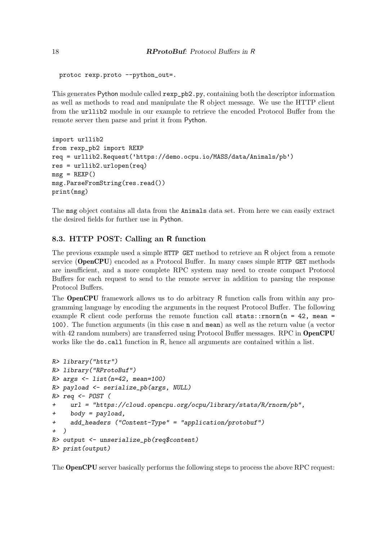```
protoc rexp.proto --python_out=.
```
This generates Python module called rexp\_pb2.py, containing both the descriptor information as well as methods to read and manipulate the R object message. We use the HTTP client from the urllib2 module in our example to retrieve the encoded Protocol Buffer from the remote server then parse and print it from Python.

```
import urllib2
from rexp_pb2 import REXP
req = urllib2.Request('https://demo.ocpu.io/MASS/data/Animals/pb')
res = urllib2.urlopen(req)
msg = REXP()msg.ParseFromString(res.read())
print(msg)
```
The msg object contains all data from the Animals data set. From here we can easily extract the desired fields for further use in Python.

### 8.3. HTTP POST: Calling an R function

The previous example used a simple HTTP GET method to retrieve an R object from a remote service (OpenCPU) encoded as a Protocol Buffer. In many cases simple HTTP GET methods are insufficient, and a more complete RPC system may need to create compact Protocol Buffers for each request to send to the remote server in addition to parsing the response Protocol Buffers.

The OpenCPU framework allows us to do arbitrary R function calls from within any programming language by encoding the arguments in the request Protocol Buffer. The following example R client code performs the remote function call stats:: $rnorm(n = 42, mean =$ 100). The function arguments (in this case n and mean) as well as the return value (a vector with 42 random numbers) are transferred using Protocol Buffer messages. RPC in **OpenCPU** works like the do.call function in R, hence all arguments are contained within a list.

```
R> library("httr")
R> library("RProtoBuf")
R> args \leftarrow list (n=42, mean=100)
R> payload <- serialize_pb(args, NULL)
R> req <- POST (
+ url = "https://cloud.opencpu.org/ocpu/library/stats/R/rnorm/pb",
+ body = payload,
+ add_headers ("Content-Type" = "application/protobuf")
+ )
R> output <- unserialize_pb(req$content)
R> print(output)
```
The OpenCPU server basically performs the following steps to process the above RPC request: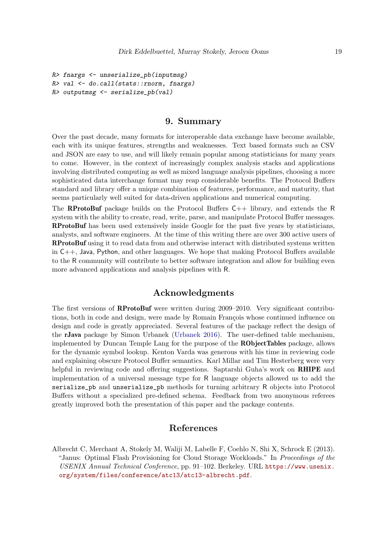```
R> fnargs <- unserialize_pb(inputmsg)
R> val <- do.call(stats::rnorm, fnargs)
R> outputmsg \leftarrow serialize_pb(val)
```
### 9. Summary

<span id="page-18-0"></span>Over the past decade, many formats for interoperable data exchange have become available, each with its unique features, strengths and weaknesses. Text based formats such as CSV and JSON are easy to use, and will likely remain popular among statisticians for many years to come. However, in the context of increasingly complex analysis stacks and applications involving distributed computing as well as mixed language analysis pipelines, choosing a more sophisticated data interchange format may reap considerable benefits. The Protocol Buffers standard and library offer a unique combination of features, performance, and maturity, that seems particularly well suited for data-driven applications and numerical computing.

The **RProtoBuf** package builds on the Protocol Buffers  $C_{++}$  library, and extends the R system with the ability to create, read, write, parse, and manipulate Protocol Buffer messages. RProtoBuf has been used extensively inside Google for the past five years by statisticians, analysts, and software engineers. At the time of this writing there are over 300 active users of RProtoBuf using it to read data from and otherwise interact with distributed systems written in C++, Java, Python, and other languages. We hope that making Protocol Buffers available to the R community will contribute to better software integration and allow for building even more advanced applications and analysis pipelines with R.

# Acknowledgments

The first versions of RProtoBuf were written during 2009–2010. Very significant contributions, both in code and design, were made by Romain François whose continued influence on design and code is greatly appreciated. Several features of the package reflect the design of the rJava package by Simon Urbanek [\(Urbanek](#page-20-14) [2016\)](#page-20-14). The user-defined table mechanism, implemented by Duncan Temple Lang for the purpose of the RObjectTables package, allows for the dynamic symbol lookup. Kenton Varda was generous with his time in reviewing code and explaining obscure Protocol Buffer semantics. Karl Millar and Tim Hesterberg were very helpful in reviewing code and offering suggestions. Saptarshi Guha's work on **RHIPE** and implementation of a universal message type for R language objects allowed us to add the serialize\_pb and unserialize\_pb methods for turning arbitrary R objects into Protocol Buffers without a specialized pre-defined schema. Feedback from two anonymous referees greatly improved both the presentation of this paper and the package contents.

## References

<span id="page-18-1"></span>Albrecht C, Merchant A, Stokely M, Waliji M, Labelle F, Coehlo N, Shi X, Schrock E (2013). "Janus: Optimal Flash Provisioning for Cloud Storage Workloads." In Proceedings of the USENIX Annual Technical Conference, pp. 91–102. Berkeley. URL [https://www.usenix.](https://www.usenix.org/system/files/conference/atc13/atc13-albrecht.pdf) [org/system/files/conference/atc13/atc13-albrecht.pdf](https://www.usenix.org/system/files/conference/atc13/atc13-albrecht.pdf).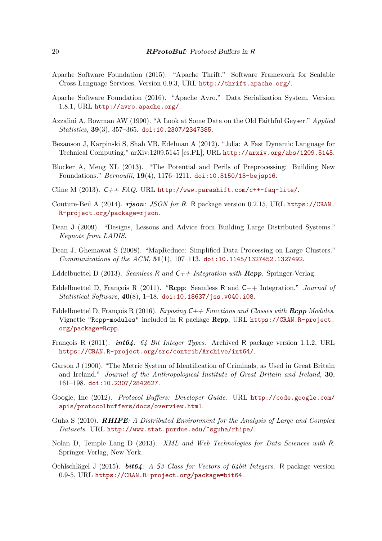- <span id="page-19-5"></span>Apache Software Foundation (2015). "Apache Thrift." Software Framework for Scalable Cross-Language Services, Version 0.9.3, URL <http://thrift.apache.org/>.
- <span id="page-19-6"></span>Apache Software Foundation (2016). "Apache Avro." Data Serialization System, Version 1.8.1, URL <http://avro.apache.org/>.
- <span id="page-19-14"></span>Azzalini A, Bowman AW (1990). "A Look at Some Data on the Old Faithful Geyser." Applied  $Statistics, 39(3), 357-365.$  [doi:10.2307/2347385](http://dx.doi.org/10.2307/2347385).
- <span id="page-19-1"></span>Bezanson J, Karpinski S, Shah VB, Edelman A (2012). "Julia: A Fast Dynamic Language for Technical Computing." arXiv:1209.5145 [cs.PL], URL <http://arxiv.org/abs/1209.5145>.
- <span id="page-19-17"></span>Blocker A, Meng XL (2013). "The Potential and Perils of Preprocessing: Building New Foundations." Bernoulli, 19(4), 1176–1211. [doi:10.3150/13-bejsp16](http://dx.doi.org/10.3150/13-bejsp16).
- <span id="page-19-0"></span>Cline M (2013).  $C_{++}$  FAQ. URL <http://www.parashift.com/c++-faq-lite/>.
- <span id="page-19-3"></span>Couture-Beil A (2014). rjson: JSON for R. R package version 0.2.15, URL [https://CRAN.](https://CRAN.R-project.org/package=rjson) [R-project.org/package=rjson](https://CRAN.R-project.org/package=rjson).
- <span id="page-19-15"></span>Dean J (2009). "Designs, Lessons and Advice from Building Large Distributed Systems." Keynote from LADIS.
- <span id="page-19-16"></span>Dean J, Ghemawat S (2008). "MapReduce: Simplified Data Processing on Large Clusters." Communications of the  $ACM$ ,  $51(1)$ ,  $107-113$ . [doi:10.1145/1327452.1327492](http://dx.doi.org/10.1145/1327452.1327492).
- <span id="page-19-8"></span>Eddelbuettel D (2013). Seamless R and  $C++$  Integration with  $\mathbb{R}cpp$ . Springer-Verlag.
- <span id="page-19-7"></span>Eddelbuettel D, François R (2011). "Rcpp: Seamless R and  $C_{++}$  Integration." *Journal of* Statistical Software, 40(8), 1–18. [doi:10.18637/jss.v040.i08](http://dx.doi.org/10.18637/jss.v040.i08).
- <span id="page-19-9"></span>Eddelbuettel D, François R (2016). Exposing  $C++$  Functions and Classes with **Repp** Modules. Vignette "Rcpp-modules" included in R package Rcpp, URL [https://CRAN.R-project.](https://CRAN.R-project.org/package=Rcpp) [org/package=Rcpp](https://CRAN.R-project.org/package=Rcpp).
- <span id="page-19-10"></span>François R (2011).  $int64: 64 \text{ Bit Integer Types}$ . Archived R package version 1.1.2, URL <https://CRAN.R-project.org/src/contrib/Archive/int64/>.
- <span id="page-19-13"></span>Garson J (1900). "The Metric System of Identification of Criminals, as Used in Great Britain and Ireland." Journal of the Anthropological Institute of Great Britain and Ireland, 30, 161–198. [doi:10.2307/2842627](http://dx.doi.org/10.2307/2842627).
- <span id="page-19-4"></span>Google, Inc (2012). Protocol Buffers: Developer Guide. URL [http://code.google.com/](http://code.google.com/apis/protocolbuffers/docs/overview.html) [apis/protocolbuffers/docs/overview.html](http://code.google.com/apis/protocolbuffers/docs/overview.html).
- <span id="page-19-12"></span>Guha S (2010). **RHIPE:** A Distributed Environment for the Analysis of Large and Complex Datasets. URL <http://www.stat.purdue.edu/~sguha/rhipe/>.
- <span id="page-19-2"></span>Nolan D, Temple Lang D (2013). XML and Web Technologies for Data Sciences with R. Springer-Verlag, New York.
- <span id="page-19-11"></span>Oehlschlägel J (2015). **bit64**: A S3 Class for Vectors of 64bit Integers. R package version 0.9-5, URL <https://CRAN.R-project.org/package=bit64>.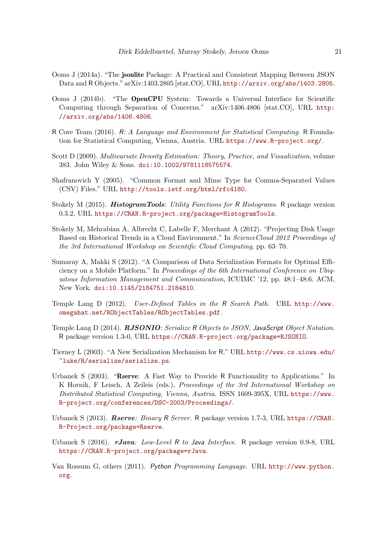- <span id="page-20-4"></span>Ooms J (2014a). "The jsonlite Package: A Practical and Consistent Mapping Between JSON Data and R Objects." arXiv:1403.2805 [stat.CO], URL <http://arxiv.org/abs/1403.2805>.
- <span id="page-20-13"></span>Ooms J (2014b). "The OpenCPU System: Towards a Universal Interface for Scientific Computing through Separation of Concerns." arXiv:1406.4806 [stat.CO], URL [http:](http://arxiv.org/abs/1406.4806) [//arxiv.org/abs/1406.4806](http://arxiv.org/abs/1406.4806).
- <span id="page-20-0"></span>R Core Team (2016). R: A Language and Environment for Statistical Computing. R Foundation for Statistical Computing, Vienna, Austria. URL <https://www.R-project.org/>.
- <span id="page-20-10"></span>Scott D (2009). Multivariate Density Estimation: Theory, Practice, and Visualization, volume 383. John Wiley & Sons. [doi:10.1002/9781118575574](http://dx.doi.org/10.1002/9781118575574).
- <span id="page-20-2"></span>Shafranovich Y (2005). "Common Format and Mime Type for Comma-Separated Values (CSV) Files." URL <http://tools.ietf.org/html/rfc4180>.
- <span id="page-20-11"></span>Stokely M (2015). **HistogramTools**: Utility Functions for R Histograms. R package version 0.3.2, URL <https://CRAN.R-project.org/package=HistogramTools>.
- <span id="page-20-12"></span>Stokely M, Mehrabian A, Albrecht C, Labelle F, Merchant A (2012). "Projecting Disk Usage Based on Historical Trends in a Cloud Environment." In ScienceCloud 2012 Proceedings of the 3rd International Workshop on Scientific Cloud Computing, pp. 63–70.
- <span id="page-20-5"></span>Sumaray A, Makki S (2012). "A Comparison of Data Serialization Formats for Optimal Efficiency on a Mobile Platform." In Proceedings of the 6th International Conference on Ubiquitous Information Management and Communication, ICUIMC '12, pp. 48:1–48:6. ACM, New York. [doi:10.1145/2184751.2184810](http://dx.doi.org/10.1145/2184751.2184810).
- <span id="page-20-8"></span>Temple Lang D (2012). User-Defined Tables in the R Search Path. URL [http://www.](http://www.omegahat.net/RObjectTables/RObjectTables.pdf) [omegahat.net/RObjectTables/RObjectTables.pdf](http://www.omegahat.net/RObjectTables/RObjectTables.pdf).
- <span id="page-20-3"></span>Temple Lang D (2014). RJSONIO: Serialize R Objects to JSON, JavaScript Object Notation. R package version 1.3-0, URL <https://CRAN.R-project.org/package=RJSONIO>.
- <span id="page-20-9"></span>Tierney L (2003). "A New Serialization Mechanism for R." URL [http://www.cs.uiowa.edu/](http://www.cs.uiowa.edu/~luke/R/serialize/serialize.ps) [~luke/R/serialize/serialize.ps](http://www.cs.uiowa.edu/~luke/R/serialize/serialize.ps).
- <span id="page-20-6"></span>Urbanek S (2003). "Rserve: A Fast Way to Provide R Functionality to Applications." In K Hornik, F Leisch, A Zeileis (eds.), Proceedings of the 3rd International Workshop on Distributed Statistical Computing, Vienna, Austria. ISSN 1609-395X, URL [https://www.](https://www.R-project.org/conferences/DSC-2003/Proceedings/) [R-project.org/conferences/DSC-2003/Proceedings/](https://www.R-project.org/conferences/DSC-2003/Proceedings/).
- <span id="page-20-7"></span>Urbanek S (2013). Rserve: Binary R Server. R package version 1.7-3, URL [https://CRAN.](https://CRAN.R-Project.org/package=Rserve) [R-Project.org/package=Rserve](https://CRAN.R-Project.org/package=Rserve).
- <span id="page-20-14"></span>Urbanek S (2016).  $r\text{Java:}$  Low-Level R to Java Interface. R package version 0.9-8, URL <https://CRAN.R-project.org/package=rJava>.
- <span id="page-20-1"></span>Van Rossum G, others (2011). Python Programming Language. URL [http://www.python.](http://www.python.org) [org](http://www.python.org).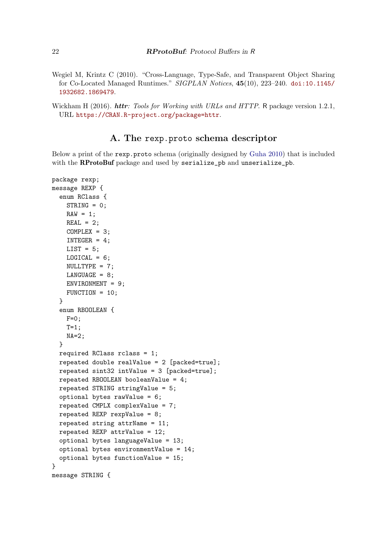- <span id="page-21-0"></span>Wegiel M, Krintz C (2010). "Cross-Language, Type-Safe, and Transparent Object Sharing for Co-Located Managed Runtimes." SIGPLAN Notices, 45(10), 223–240. [doi:10.1145/](http://dx.doi.org/10.1145/1932682.1869479) [1932682.1869479](http://dx.doi.org/10.1145/1932682.1869479).
- <span id="page-21-1"></span>Wickham H (2016). *httr: Tools for Working with URLs and HTTP*. R package version 1.2.1, URL <https://CRAN.R-project.org/package=httr>.

# A. The rexp.proto schema descriptor

Below a print of the rexp.proto schema (originally designed by [Guha](#page-19-12) [2010\)](#page-19-12) that is included with the RProtoBuf package and used by serialize\_pb and unserialize\_pb.

```
package rexp;
message REXP {
  enum RClass {
    STRING = 0;
    RAW = 1;REAL = 2;
    COMPLEX = 3;INTER = 4;
    LIST = 5;
    LOGICAL = 6:
    NULLTYPE = 7;
    LMGUAGE = 8;ENVIRONMENT = 9;
   FUNCTION = 10;
  }
  enum RBOOLEAN {
    F=0;
   T=1;
   NA=2;
  }
  required RClass rclass = 1;
  repeated double realValue = 2 [packed=true];
  repeated sint32 intValue = 3 [packed=true];
  repeated RBOOLEAN booleanValue = 4;
  repeated STRING stringValue = 5;
  optional bytes rawValue = 6;
  repeated CMPLX complexValue = 7;
  repeated REXP rexpValue = 8;
  repeated string attrName = 11;
  repeated REXP attrValue = 12;
  optional bytes languageValue = 13;
  optional bytes environmentValue = 14;
  optional bytes functionValue = 15;
}
message STRING {
```